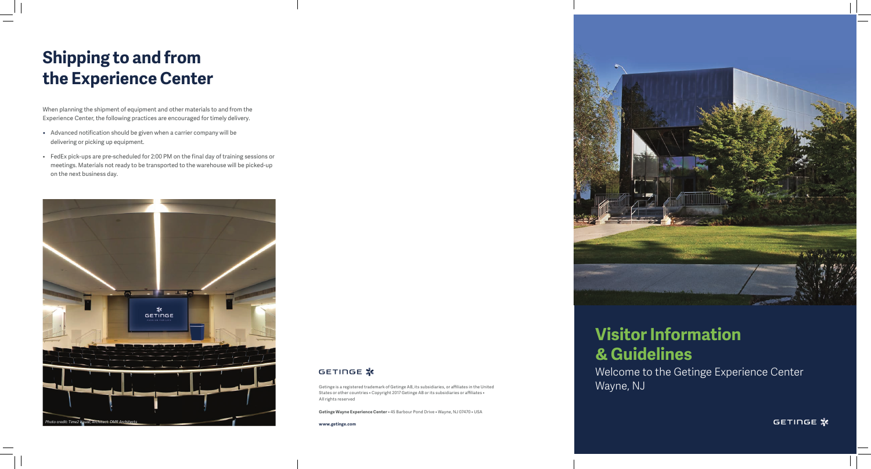

# GETINGE **\***



# Welcome to the Getinge Experience Center

GETINGE **\*** 

Wayne, NJ

# **Shipping to and from the Experience Center**

When planning the shipment of equipment and other materials to and from the Experience Center, the following practices are encouraged for timely delivery.

> Getinge is a registered trademark of Getinge AB, its subsidiaries, or affiliates in the United States or other countries • Copyright 2017 Getinge AB or its subsidiaries or affiliates • All rights reserved

- Advanced notification should be given when a carrier company will be delivering or picking up equipment.
- FedEx pick-ups are pre-scheduled for 2:00 PM on the final day of training sessions or meetings. Materials not ready to be transported to the warehouse will be picked-up on the next business day.

**Getinge Wayne Experience Center** • 45 Barbour Pond Drive • Wayne, NJ 07470 • USA

**www.getinge.com**